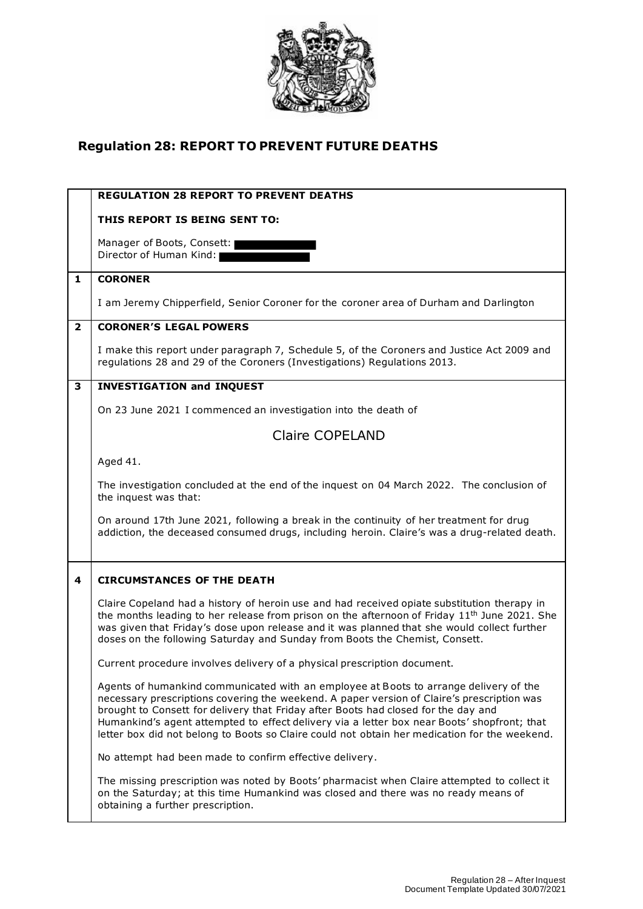

## **Regulation 28: REPORT TO PREVENT FUTURE DEATHS**

|                | <b>REGULATION 28 REPORT TO PREVENT DEATHS</b>                                                                                                                                                                                                                                                                                                                                                                                                                             |
|----------------|---------------------------------------------------------------------------------------------------------------------------------------------------------------------------------------------------------------------------------------------------------------------------------------------------------------------------------------------------------------------------------------------------------------------------------------------------------------------------|
|                | THIS REPORT IS BEING SENT TO:                                                                                                                                                                                                                                                                                                                                                                                                                                             |
|                | Manager of Boots, Consett:<br>Director of Human Kind:                                                                                                                                                                                                                                                                                                                                                                                                                     |
| 1              | <b>CORONER</b>                                                                                                                                                                                                                                                                                                                                                                                                                                                            |
|                | I am Jeremy Chipperfield, Senior Coroner for the coroner area of Durham and Darlington                                                                                                                                                                                                                                                                                                                                                                                    |
| $\overline{2}$ | <b>CORONER'S LEGAL POWERS</b>                                                                                                                                                                                                                                                                                                                                                                                                                                             |
|                | I make this report under paragraph 7, Schedule 5, of the Coroners and Justice Act 2009 and<br>regulations 28 and 29 of the Coroners (Investigations) Regulations 2013.                                                                                                                                                                                                                                                                                                    |
| 3              | <b>INVESTIGATION and INQUEST</b>                                                                                                                                                                                                                                                                                                                                                                                                                                          |
|                | On 23 June 2021 I commenced an investigation into the death of                                                                                                                                                                                                                                                                                                                                                                                                            |
|                | <b>Claire COPELAND</b>                                                                                                                                                                                                                                                                                                                                                                                                                                                    |
|                | Aged 41.                                                                                                                                                                                                                                                                                                                                                                                                                                                                  |
|                | The investigation concluded at the end of the inquest on 04 March 2022. The conclusion of<br>the inquest was that:                                                                                                                                                                                                                                                                                                                                                        |
|                | On around 17th June 2021, following a break in the continuity of her treatment for drug<br>addiction, the deceased consumed drugs, including heroin. Claire's was a drug-related death.                                                                                                                                                                                                                                                                                   |
| 4              | <b>CIRCUMSTANCES OF THE DEATH</b>                                                                                                                                                                                                                                                                                                                                                                                                                                         |
|                | Claire Copeland had a history of heroin use and had received opiate substitution therapy in<br>the months leading to her release from prison on the afternoon of Friday 11 <sup>th</sup> June 2021. She<br>was given that Friday's dose upon release and it was planned that she would collect further<br>doses on the following Saturday and Sunday from Boots the Chemist, Consett.                                                                                     |
|                | Current procedure involves delivery of a physical prescription document.                                                                                                                                                                                                                                                                                                                                                                                                  |
|                | Agents of humankind communicated with an employee at Boots to arrange delivery of the<br>necessary prescriptions covering the weekend. A paper version of Claire's prescription was<br>brought to Consett for delivery that Friday after Boots had closed for the day and<br>Humankind's agent attempted to effect delivery via a letter box near Boots' shopfront; that<br>letter box did not belong to Boots so Claire could not obtain her medication for the weekend. |
|                | No attempt had been made to confirm effective delivery.                                                                                                                                                                                                                                                                                                                                                                                                                   |
|                | The missing prescription was noted by Boots' pharmacist when Claire attempted to collect it<br>on the Saturday; at this time Humankind was closed and there was no ready means of<br>obtaining a further prescription.                                                                                                                                                                                                                                                    |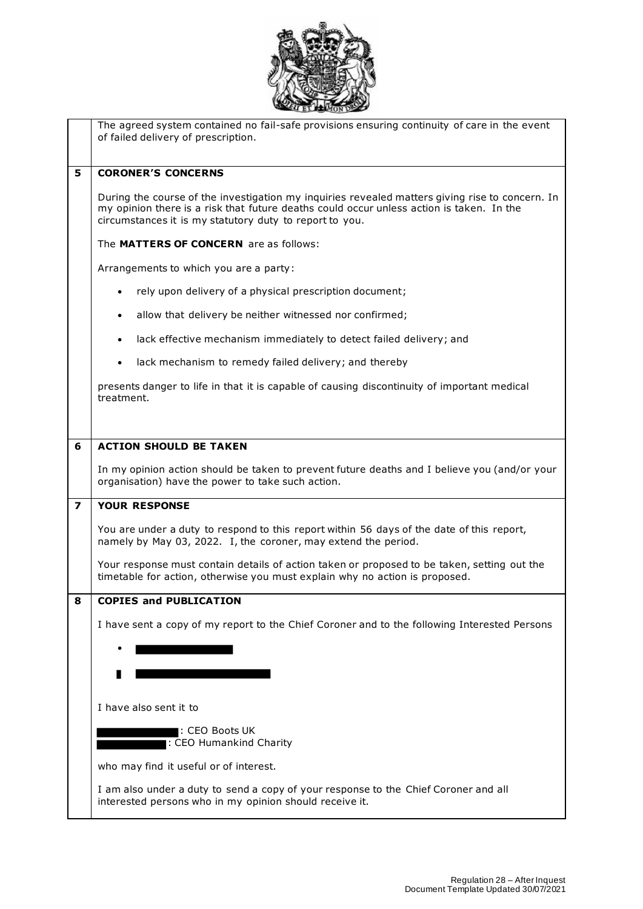

|   | The agreed system contained no fail-safe provisions ensuring continuity of care in the event<br>of failed delivery of prescription.                                                                                                                    |
|---|--------------------------------------------------------------------------------------------------------------------------------------------------------------------------------------------------------------------------------------------------------|
|   |                                                                                                                                                                                                                                                        |
| 5 | <b>CORONER'S CONCERNS</b>                                                                                                                                                                                                                              |
|   | During the course of the investigation my inquiries revealed matters giving rise to concern. In<br>my opinion there is a risk that future deaths could occur unless action is taken. In the<br>circumstances it is my statutory duty to report to you. |
|   | The MATTERS OF CONCERN are as follows:                                                                                                                                                                                                                 |
|   | Arrangements to which you are a party:                                                                                                                                                                                                                 |
|   | rely upon delivery of a physical prescription document;<br>٠                                                                                                                                                                                           |
|   | allow that delivery be neither witnessed nor confirmed;<br>$\bullet$                                                                                                                                                                                   |
|   | lack effective mechanism immediately to detect failed delivery; and<br>$\bullet$                                                                                                                                                                       |
|   | lack mechanism to remedy failed delivery; and thereby<br>٠                                                                                                                                                                                             |
|   | presents danger to life in that it is capable of causing discontinuity of important medical<br>treatment.                                                                                                                                              |
|   |                                                                                                                                                                                                                                                        |
| 6 | <b>ACTION SHOULD BE TAKEN</b>                                                                                                                                                                                                                          |
|   | In my opinion action should be taken to prevent future deaths and I believe you (and/or your<br>organisation) have the power to take such action.                                                                                                      |
| 7 | <b>YOUR RESPONSE</b>                                                                                                                                                                                                                                   |
|   | You are under a duty to respond to this report within 56 days of the date of this report,<br>namely by May 03, 2022. I, the coroner, may extend the period.                                                                                            |
|   | Your response must contain details of action taken or proposed to be taken, setting out the<br>timetable for action, otherwise you must explain why no action is proposed.                                                                             |
| 8 | <b>COPIES and PUBLICATION</b>                                                                                                                                                                                                                          |
|   | I have sent a copy of my report to the Chief Coroner and to the following Interested Persons                                                                                                                                                           |
|   |                                                                                                                                                                                                                                                        |
|   |                                                                                                                                                                                                                                                        |
|   |                                                                                                                                                                                                                                                        |
|   | I have also sent it to                                                                                                                                                                                                                                 |
|   | I: CEO Boots UK<br>: CEO Humankind Charity                                                                                                                                                                                                             |
|   | who may find it useful or of interest.                                                                                                                                                                                                                 |
|   | I am also under a duty to send a copy of your response to the Chief Coroner and all                                                                                                                                                                    |